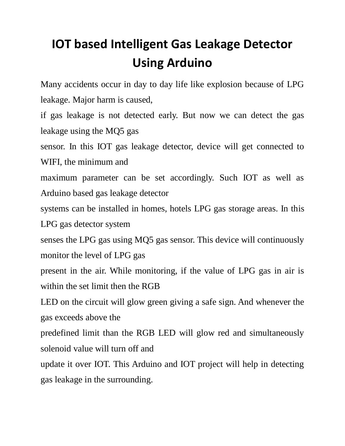## **IOT based Intelligent Gas Leakage Detector Using Arduino**

Many accidents occur in day to day life like explosion because of LPG leakage. Major harm is caused,

if gas leakage is not detected early. But now we can detect the gas leakage using the MQ5 gas

sensor. In this IOT gas leakage detector, device will get connected to WIFI, the minimum and

maximum parameter can be set accordingly. Such IOT as well as Arduino based gas leakage detector

systems can be installed in homes, hotels LPG gas storage areas. In this LPG gas detector system

senses the LPG gas using MQ5 gas sensor. This device will continuously monitor the level of LPG gas

present in the air. While monitoring, if the value of LPG gas in air is within the set limit then the RGB

LED on the circuit will glow green giving a safe sign. And whenever the gas exceeds above the

predefined limit than the RGB LED will glow red and simultaneously solenoid value will turn off and

update it over IOT. This Arduino and IOT project will help in detecting gas leakage in the surrounding.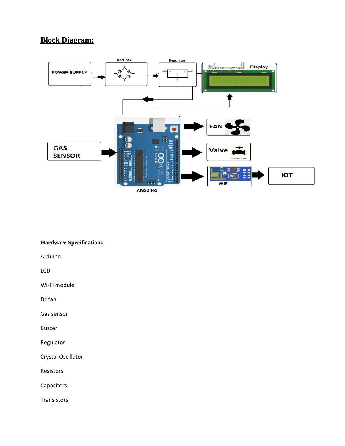## **Block Diagram:**



## **Hardware Specifications**

Arduino

LCD

Wi-Fi module

Dc fan

Gas sensor

Buzzer

Regulator

Crystal Oscillator

Resistors

Capacitors

**Transistors**